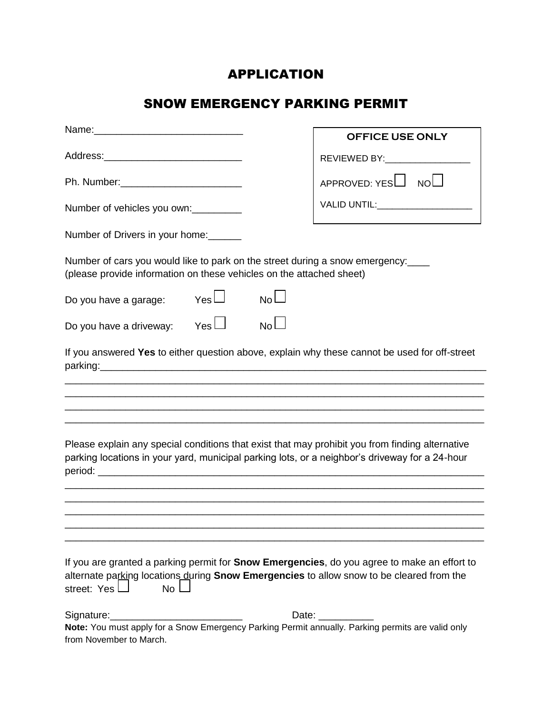## APPLICATION

# SNOW EMERGENCY PARKING PERMIT

|                                                                                                                                                                                                                               | <b>OFFICE USE ONLY</b>             |  |  |  |  |  |
|-------------------------------------------------------------------------------------------------------------------------------------------------------------------------------------------------------------------------------|------------------------------------|--|--|--|--|--|
|                                                                                                                                                                                                                               | REVIEWED BY:___________________    |  |  |  |  |  |
|                                                                                                                                                                                                                               | APPROVED: YESL NOL                 |  |  |  |  |  |
| Number of vehicles you own:                                                                                                                                                                                                   | VALID UNTIL:______________________ |  |  |  |  |  |
| Number of Drivers in your home:                                                                                                                                                                                               |                                    |  |  |  |  |  |
| Number of cars you would like to park on the street during a snow emergency:<br>(please provide information on these vehicles on the attached sheet)                                                                          |                                    |  |  |  |  |  |
| $Yes \Box$<br>$No$ $\Box$<br>Do you have a garage:                                                                                                                                                                            |                                    |  |  |  |  |  |
| $Yes$ $\Box$<br>$No$ $\Box$<br>Do you have a driveway:                                                                                                                                                                        |                                    |  |  |  |  |  |
| If you answered Yes to either question above, explain why these cannot be used for off-street                                                                                                                                 |                                    |  |  |  |  |  |
|                                                                                                                                                                                                                               |                                    |  |  |  |  |  |
|                                                                                                                                                                                                                               |                                    |  |  |  |  |  |
| Please explain any special conditions that exist that may prohibit you from finding alternative<br>parking locations in your yard, municipal parking lots, or a neighbor's driveway for a 24-hour                             |                                    |  |  |  |  |  |
|                                                                                                                                                                                                                               |                                    |  |  |  |  |  |
|                                                                                                                                                                                                                               |                                    |  |  |  |  |  |
|                                                                                                                                                                                                                               |                                    |  |  |  |  |  |
| If you are granted a parking permit for <b>Snow Emergencies</b> , do you agree to make an effort to<br>alternate parking locations during Snow Emergencies to allow snow to be cleared from the<br>street: Yes L<br><b>No</b> |                                    |  |  |  |  |  |
| Signature:<br>Note: You must apply for a Snow Emergency Parking Permit annually. Parking permits are valid only<br>from November to March.                                                                                    | Date: ___________                  |  |  |  |  |  |